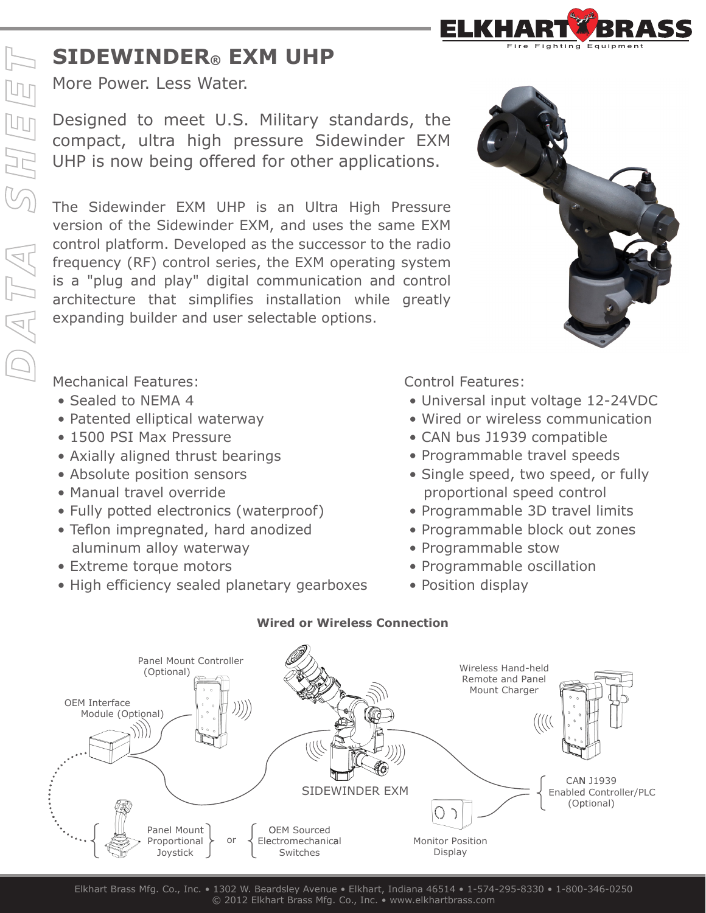## **SIDEWINDER® EXM UHP**

More Power. Less Water.

Designed to meet U.S. Military standards, the compact, ultra high pressure Sidewinder EXM UHP is now being offered for other applications.

The Sidewinder EXM UHP is an Ultra High Pressure version of the Sidewinder EXM, and uses the same EXM control platform. Developed as the successor to the radio frequency (RF) control series, the EXM operating system is a "plug and play" digital communication and control architecture that simplifies installation while greatly expanding builder and user selectable options.



Fighting Equipme

Mechanical Features:

- Sealed to NEMA 4
- Patented elliptical waterway
- 1500 PSI Max Pressure
- Axially aligned thrust bearings
- Absolute position sensors
- Manual travel override
- Fully potted electronics (waterproof)
- Teflon impregnated, hard anodized aluminum alloy waterway
- Extreme torque motors
- High efficiency sealed planetary gearboxes

Control Features:

- Universal input voltage 12-24VDC
- Wired or wireless communication
- CAN bus J1939 compatible
- Programmable travel speeds
- Single speed, two speed, or fully proportional speed control
- Programmable 3D travel limits
- Programmable block out zones
- Programmable stow
- Programmable oscillation
- Position display



## **Wired or Wireless Connection**

Elkhart Brass Mfg. Co., Inc. • 1302 W. Beardsley Avenue • Elkhart, Indiana 46514 • 1-574-295-8330 • 1-800-346-0250 © 2012 Elkhart Brass Mfg. Co., Inc. • www.elkhartbrass.com